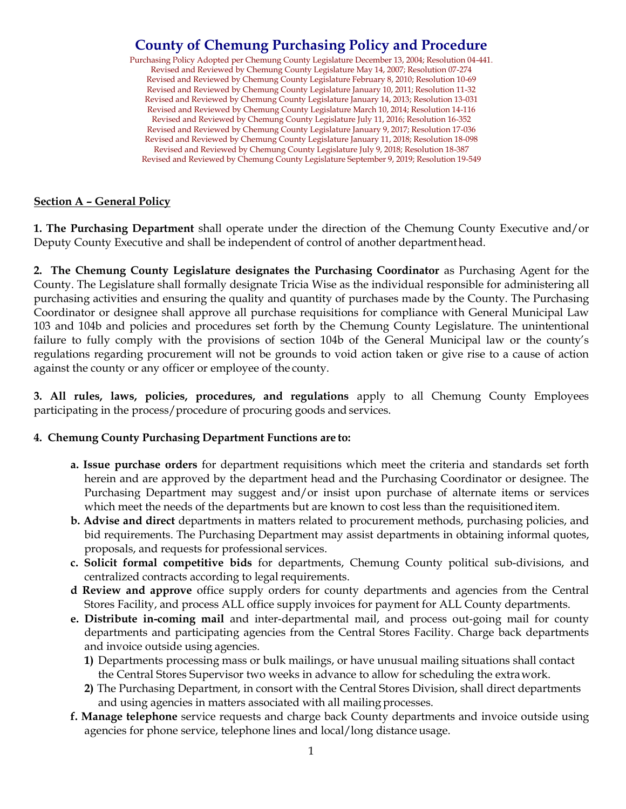# **County of Chemung Purchasing Policy and Procedure**

Purchasing Policy Adopted per Chemung County Legislature December 13, 2004; Resolution 04-441. Revised and Reviewed by Chemung County Legislature May 14, 2007; Resolution 07-274 Revised and Reviewed by Chemung County Legislature February 8, 2010; Resolution 10-69 Revised and Reviewed by Chemung County Legislature January 10, 2011; Resolution 11-32 Revised and Reviewed by Chemung County Legislature January 14, 2013; Resolution 13-031 Revised and Reviewed by Chemung County Legislature March 10, 2014; Resolution 14-116 Revised and Reviewed by Chemung County Legislature July 11, 2016; Resolution 16-352 Revised and Reviewed by Chemung County Legislature January 9, 2017; Resolution 17-036 Revised and Reviewed by Chemung County Legislature January 11, 2018; Resolution 18-098 Revised and Reviewed by Chemung County Legislature July 9, 2018; Resolution 18-387 Revised and Reviewed by Chemung County Legislature September 9, 2019; Resolution 19-549

#### **Section A – General Policy**

**1. The Purchasing Department** shall operate under the direction of the Chemung County Executive and/or Deputy County Executive and shall be independent of control of another departmenthead.

**2. The Chemung County Legislature designates the Purchasing Coordinator** as Purchasing Agent for the County. The Legislature shall formally designate Tricia Wise as the individual responsible for administering all purchasing activities and ensuring the quality and quantity of purchases made by the County. The Purchasing Coordinator or designee shall approve all purchase requisitions for compliance with General Municipal Law 103 and 104b and policies and procedures set forth by the Chemung County Legislature. The unintentional failure to fully comply with the provisions of section 104b of the General Municipal law or the county's regulations regarding procurement will not be grounds to void action taken or give rise to a cause of action against the county or any officer or employee of the county.

**3. All rules, laws, policies, procedures, and regulations** apply to all Chemung County Employees participating in the process/procedure of procuring goods and services.

#### **4. Chemung County Purchasing Department Functions are to:**

- **a. Issue purchase orders** for department requisitions which meet the criteria and standards set forth herein and are approved by the department head and the Purchasing Coordinator or designee. The Purchasing Department may suggest and/or insist upon purchase of alternate items or services which meet the needs of the departments but are known to cost less than the requisitioneditem.
- **b. Advise and direct** departments in matters related to procurement methods, purchasing policies, and bid requirements. The Purchasing Department may assist departments in obtaining informal quotes, proposals, and requests for professional services.
- **c. Solicit formal competitive bids** for departments, Chemung County political sub-divisions, and centralized contracts according to legal requirements.
- **d Review and approve** office supply orders for county departments and agencies from the Central Stores Facility, and process ALL office supply invoices for payment for ALL County departments.
- **e. Distribute in-coming mail** and inter-departmental mail, and process out-going mail for county departments and participating agencies from the Central Stores Facility. Charge back departments and invoice outside using agencies.
	- **1)** Departments processing mass or bulk mailings, or have unusual mailing situations shall contact the Central Stores Supervisor two weeks in advance to allow for scheduling the extrawork.
	- **2)** The Purchasing Department, in consort with the Central Stores Division, shall direct departments and using agencies in matters associated with all mailing processes.
- **f. Manage telephone** service requests and charge back County departments and invoice outside using agencies for phone service, telephone lines and local/long distance usage.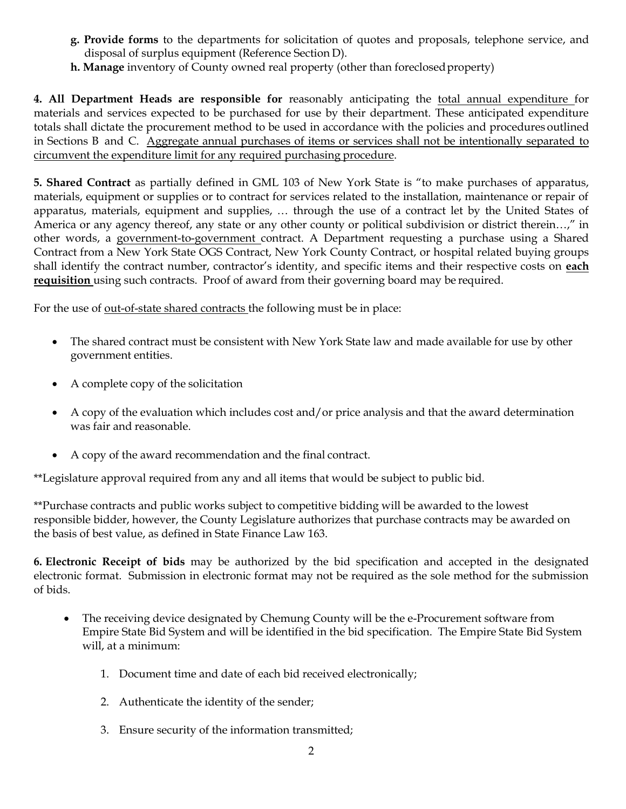- **g. Provide forms** to the departments for solicitation of quotes and proposals, telephone service, and disposal of surplus equipment (Reference Section D).
- **h. Manage** inventory of County owned real property (other than foreclosedproperty)

**4. All Department Heads are responsible for** reasonably anticipating the total annual expenditure for materials and services expected to be purchased for use by their department. These anticipated expenditure totals shall dictate the procurement method to be used in accordance with the policies and procedures outlined in Sections B and C. Aggregate annual purchases of items or services shall not be intentionally separated to circumvent the expenditure limit for any required purchasing procedure.

**5. Shared Contract** as partially defined in GML 103 of New York State is "to make purchases of apparatus, materials, equipment or supplies or to contract for services related to the installation, maintenance or repair of apparatus, materials, equipment and supplies, … through the use of a contract let by the United States of America or any agency thereof, any state or any other county or political subdivision or district therein…," in other words, a government-to-government contract. A Department requesting a purchase using a Shared Contract from a New York State OGS Contract, New York County Contract, or hospital related buying groups shall identify the contract number, contractor's identity, and specific items and their respective costs on **each requisition** using such contracts. Proof of award from their governing board may be required.

For the use of <u>out-of-state shared contracts</u> the following must be in place:

- The shared contract must be consistent with New York State law and made available for use by other government entities.
- A complete copy of the solicitation
- A copy of the evaluation which includes cost and/or price analysis and that the award determination was fair and reasonable.
- A copy of the award recommendation and the final contract.

\*\*Legislature approval required from any and all items that would be subject to public bid.

\*\*Purchase contracts and public works subject to competitive bidding will be awarded to the lowest responsible bidder, however, the County Legislature authorizes that purchase contracts may be awarded on the basis of best value, as defined in State Finance Law 163.

**6. Electronic Receipt of bids** may be authorized by the bid specification and accepted in the designated electronic format. Submission in electronic format may not be required as the sole method for the submission of bids.

- The receiving device designated by Chemung County will be the e-Procurement software from Empire State Bid System and will be identified in the bid specification. The Empire State Bid System will, at a minimum:
	- 1. Document time and date of each bid received electronically;
	- 2. Authenticate the identity of the sender;
	- 3. Ensure security of the information transmitted;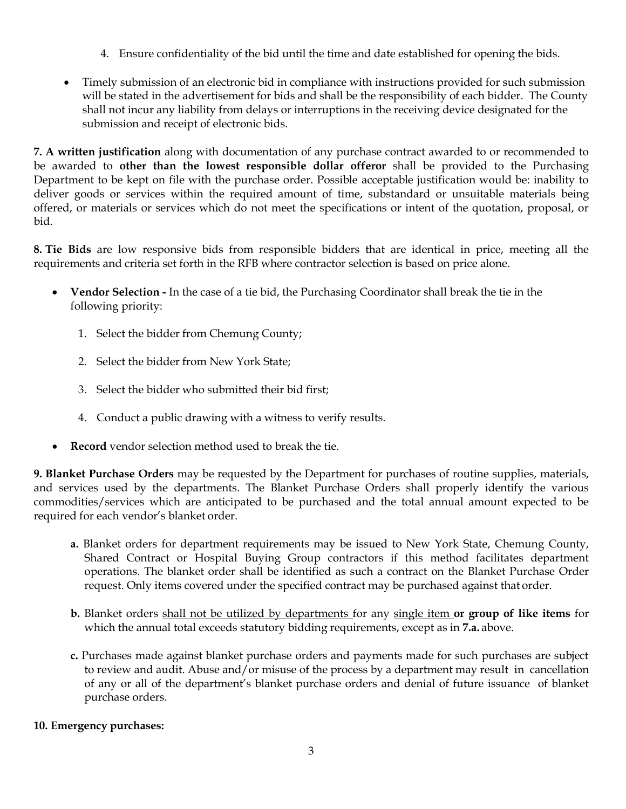- 4. Ensure confidentiality of the bid until the time and date established for opening the bids.
- Timely submission of an electronic bid in compliance with instructions provided for such submission will be stated in the advertisement for bids and shall be the responsibility of each bidder. The County shall not incur any liability from delays or interruptions in the receiving device designated for the submission and receipt of electronic bids.

**7. A written justification** along with documentation of any purchase contract awarded to or recommended to be awarded to **other than the lowest responsible dollar offeror** shall be provided to the Purchasing Department to be kept on file with the purchase order. Possible acceptable justification would be: inability to deliver goods or services within the required amount of time, substandard or unsuitable materials being offered, or materials or services which do not meet the specifications or intent of the quotation, proposal, or bid.

**8. Tie Bids** are low responsive bids from responsible bidders that are identical in price, meeting all the requirements and criteria set forth in the RFB where contractor selection is based on price alone.

- **Vendor Selection -** In the case of a tie bid, the Purchasing Coordinator shall break the tie in the following priority:
	- 1. Select the bidder from Chemung County;
	- 2. Select the bidder from New York State;
	- 3. Select the bidder who submitted their bid first;
	- 4. Conduct a public drawing with a witness to verify results.
- **Record** vendor selection method used to break the tie.

**9. Blanket Purchase Orders** may be requested by the Department for purchases of routine supplies, materials, and services used by the departments. The Blanket Purchase Orders shall properly identify the various commodities/services which are anticipated to be purchased and the total annual amount expected to be required for each vendor's blanket order.

- **a.** Blanket orders for department requirements may be issued to New York State, Chemung County, Shared Contract or Hospital Buying Group contractors if this method facilitates department operations. The blanket order shall be identified as such a contract on the Blanket Purchase Order request. Only items covered under the specified contract may be purchased against that order.
- **b.** Blanket orders shall not be utilized by departments for any single item **or group of like items** for which the annual total exceeds statutory bidding requirements, except as in **7.a.** above.
- **c.** Purchases made against blanket purchase orders and payments made for such purchases are subject to review and audit. Abuse and/or misuse of the process by a department may result in cancellation of any or all of the department's blanket purchase orders and denial of future issuance of blanket purchase orders.

### **10. Emergency purchases:**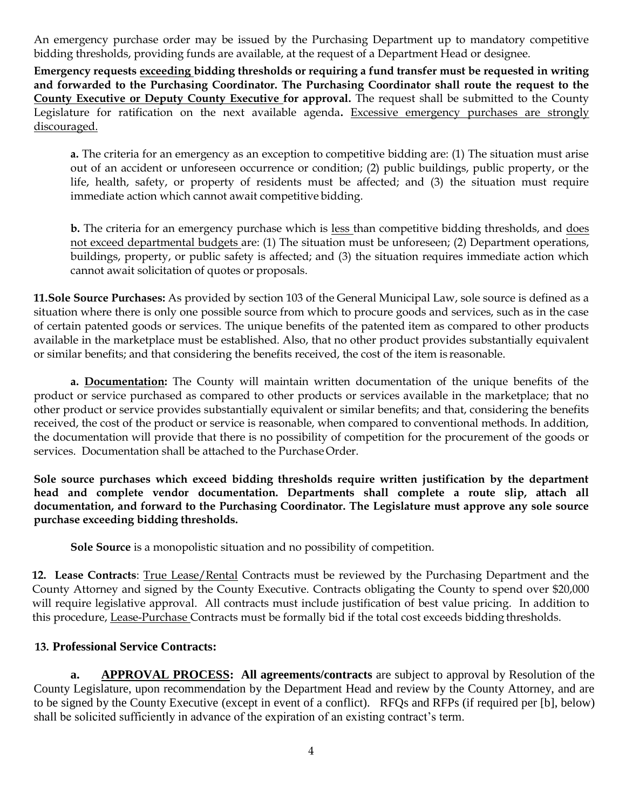An emergency purchase order may be issued by the Purchasing Department up to mandatory competitive bidding thresholds, providing funds are available, at the request of a Department Head or designee.

**Emergency requests exceeding bidding thresholds or requiring a fund transfer must be requested in writing and forwarded to the Purchasing Coordinator. The Purchasing Coordinator shall route the request to the County Executive or Deputy County Executive for approval.** The request shall be submitted to the County Legislature for ratification on the next available agenda**.** Excessive emergency purchases are strongly discouraged.

**a.** The criteria for an emergency as an exception to competitive bidding are: (1) The situation must arise out of an accident or unforeseen occurrence or condition; (2) public buildings, public property, or the life, health, safety, or property of residents must be affected; and (3) the situation must require immediate action which cannot await competitive bidding.

**b.** The criteria for an emergency purchase which is less than competitive bidding thresholds, and does not exceed departmental budgets are: (1) The situation must be unforeseen; (2) Department operations, buildings, property, or public safety is affected; and (3) the situation requires immediate action which cannot await solicitation of quotes or proposals.

**11.Sole Source Purchases:** As provided by section 103 of the General Municipal Law, sole source is defined as a situation where there is only one possible source from which to procure goods and services, such as in the case of certain patented goods or services. The unique benefits of the patented item as compared to other products available in the marketplace must be established. Also, that no other product provides substantially equivalent or similar benefits; and that considering the benefits received, the cost of the item is reasonable.

**a. Documentation:** The County will maintain written documentation of the unique benefits of the product or service purchased as compared to other products or services available in the marketplace; that no other product or service provides substantially equivalent or similar benefits; and that, considering the benefits received, the cost of the product or service is reasonable, when compared to conventional methods. In addition, the documentation will provide that there is no possibility of competition for the procurement of the goods or services. Documentation shall be attached to the Purchase Order.

**Sole source purchases which exceed bidding thresholds require written justification by the department head and complete vendor documentation. Departments shall complete a route slip, attach all documentation, and forward to the Purchasing Coordinator. The Legislature must approve any sole source purchase exceeding bidding thresholds.**

**Sole Source** is a monopolistic situation and no possibility of competition.

**12. Lease Contracts**: True Lease/Rental Contracts must be reviewed by the Purchasing Department and the County Attorney and signed by the County Executive. Contracts obligating the County to spend over \$20,000 will require legislative approval. All contracts must include justification of best value pricing. In addition to this procedure, Lease-Purchase Contracts must be formally bid if the total cost exceeds bidding thresholds.

### **13. Professional Service Contracts:**

**a. APPROVAL PROCESS: All agreements/contracts** are subject to approval by Resolution of the County Legislature, upon recommendation by the Department Head and review by the County Attorney, and are to be signed by the County Executive (except in event of a conflict). RFQs and RFPs (if required per [b], below) shall be solicited sufficiently in advance of the expiration of an existing contract's term.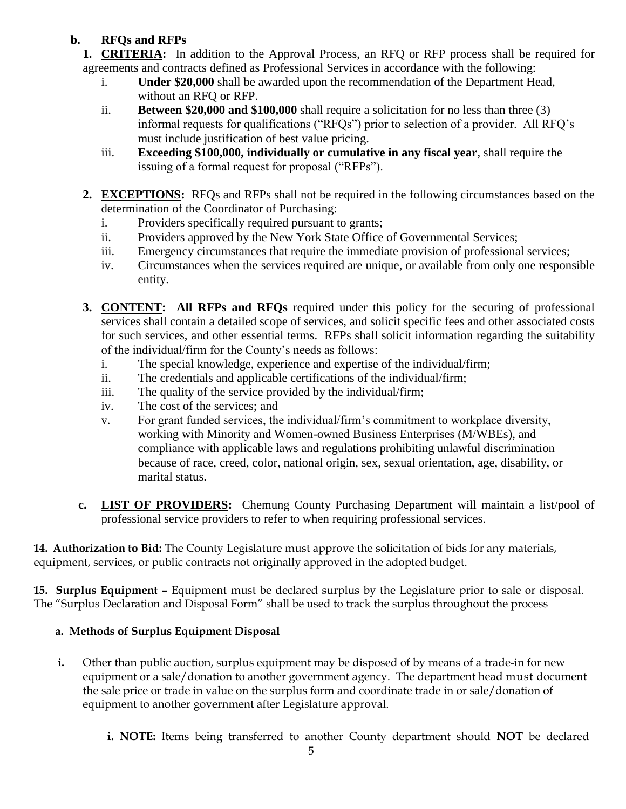# **b. RFQs and RFPs**

- **1. CRITERIA:** In addition to the Approval Process, an RFQ or RFP process shall be required for agreements and contracts defined as Professional Services in accordance with the following:
	- i. **Under \$20,000** shall be awarded upon the recommendation of the Department Head, without an RFQ or RFP.
	- ii. **Between \$20,000 and \$100,000** shall require a solicitation for no less than three (3) informal requests for qualifications ("RFQs") prior to selection of a provider. All RFQ's must include justification of best value pricing.
	- iii. **Exceeding \$100,000, individually or cumulative in any fiscal year**, shall require the issuing of a formal request for proposal ("RFPs").
- **2. EXCEPTIONS:** RFQs and RFPs shall not be required in the following circumstances based on the determination of the Coordinator of Purchasing:
	- i. Providers specifically required pursuant to grants;
	- ii. Providers approved by the New York State Office of Governmental Services;
	- iii. Emergency circumstances that require the immediate provision of professional services;
	- iv. Circumstances when the services required are unique, or available from only one responsible entity.
- **3. CONTENT: All RFPs and RFQs** required under this policy for the securing of professional services shall contain a detailed scope of services, and solicit specific fees and other associated costs for such services, and other essential terms. RFPs shall solicit information regarding the suitability of the individual/firm for the County's needs as follows:
	- i. The special knowledge, experience and expertise of the individual/firm;
	- ii. The credentials and applicable certifications of the individual/firm;
	- iii. The quality of the service provided by the individual/firm;
	- iv. The cost of the services; and
	- v. For grant funded services, the individual/firm's commitment to workplace diversity, working with Minority and Women-owned Business Enterprises (M/WBEs), and compliance with applicable laws and regulations prohibiting unlawful discrimination because of race, creed, color, national origin, sex, sexual orientation, age, disability, or marital status.
- **c. LIST OF PROVIDERS:** Chemung County Purchasing Department will maintain a list/pool of professional service providers to refer to when requiring professional services.

**14. Authorization to Bid:** The County Legislature must approve the solicitation of bids for any materials, equipment, services, or public contracts not originally approved in the adopted budget.

**15. Surplus Equipment –** Equipment must be declared surplus by the Legislature prior to sale or disposal. The "Surplus Declaration and Disposal Form" shall be used to track the surplus throughout the process

# **a. Methods of Surplus Equipment Disposal**

- **i.** Other than public auction, surplus equipment may be disposed of by means of a trade-in for new equipment or a sale/donation to another government agency. The department head must document the sale price or trade in value on the surplus form and coordinate trade in or sale/donation of equipment to another government after Legislature approval.
	- **i. NOTE:** Items being transferred to another County department should **NOT** be declared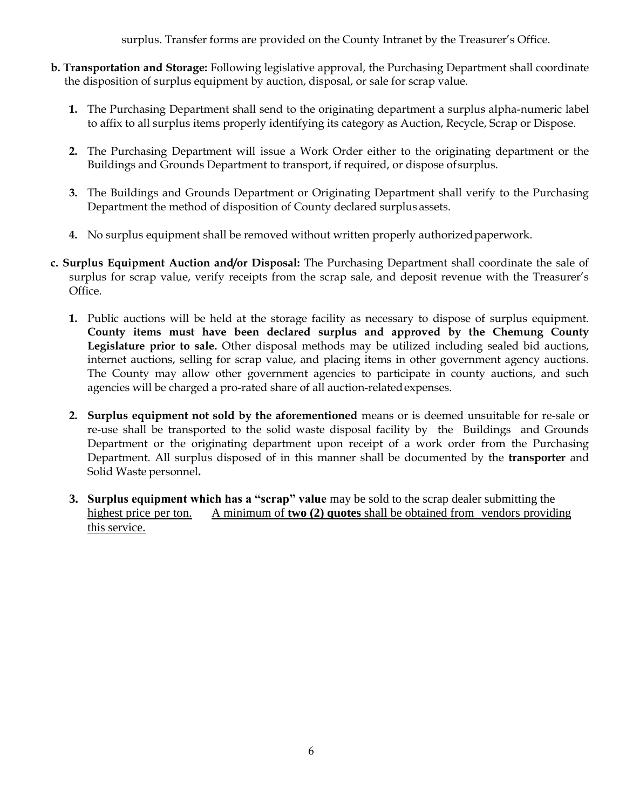surplus. Transfer forms are provided on the County Intranet by the Treasurer's Office.

- **b. Transportation and Storage:** Following legislative approval, the Purchasing Department shall coordinate the disposition of surplus equipment by auction, disposal, or sale for scrap value.
	- **1.** The Purchasing Department shall send to the originating department a surplus alpha-numeric label to affix to all surplus items properly identifying its category as Auction, Recycle, Scrap or Dispose.
	- **2.** The Purchasing Department will issue a Work Order either to the originating department or the Buildings and Grounds Department to transport, if required, or dispose of surplus.
	- **3.** The Buildings and Grounds Department or Originating Department shall verify to the Purchasing Department the method of disposition of County declared surplus assets.
	- **4.** No surplus equipment shall be removed without written properly authorizedpaperwork.
- **c. Surplus Equipment Auction and/or Disposal:** The Purchasing Department shall coordinate the sale of surplus for scrap value, verify receipts from the scrap sale, and deposit revenue with the Treasurer's Office.
	- **1.** Public auctions will be held at the storage facility as necessary to dispose of surplus equipment. **County items must have been declared surplus and approved by the Chemung County Legislature prior to sale.** Other disposal methods may be utilized including sealed bid auctions, internet auctions, selling for scrap value, and placing items in other government agency auctions. The County may allow other government agencies to participate in county auctions, and such agencies will be charged a pro-rated share of all auction-relatedexpenses.
	- **2. Surplus equipment not sold by the aforementioned** means or is deemed unsuitable for re-sale or re-use shall be transported to the solid waste disposal facility by the Buildings and Grounds Department or the originating department upon receipt of a work order from the Purchasing Department. All surplus disposed of in this manner shall be documented by the **transporter** and Solid Waste personnel**.**
	- **3. Surplus equipment which has a "scrap" value** may be sold to the scrap dealer submitting the highest price per ton. A minimum of **two (2) quotes** shall be obtained from vendors providing this service.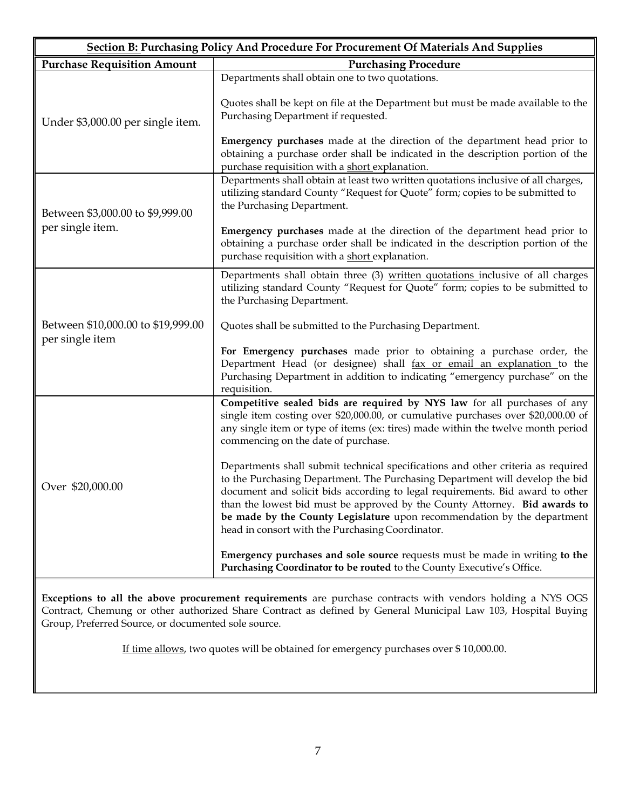| <b>Section B: Purchasing Policy And Procedure For Procurement Of Materials And Supplies</b> |                                                                                                                                                                                                                                                                                                                                                                                                                                                                |  |  |  |  |  |
|---------------------------------------------------------------------------------------------|----------------------------------------------------------------------------------------------------------------------------------------------------------------------------------------------------------------------------------------------------------------------------------------------------------------------------------------------------------------------------------------------------------------------------------------------------------------|--|--|--|--|--|
| <b>Purchase Requisition Amount</b>                                                          | <b>Purchasing Procedure</b>                                                                                                                                                                                                                                                                                                                                                                                                                                    |  |  |  |  |  |
|                                                                                             | Departments shall obtain one to two quotations.                                                                                                                                                                                                                                                                                                                                                                                                                |  |  |  |  |  |
| Under \$3,000.00 per single item.                                                           | Quotes shall be kept on file at the Department but must be made available to the<br>Purchasing Department if requested.                                                                                                                                                                                                                                                                                                                                        |  |  |  |  |  |
|                                                                                             | <b>Emergency purchases</b> made at the direction of the department head prior to<br>obtaining a purchase order shall be indicated in the description portion of the<br>purchase requisition with a short explanation.                                                                                                                                                                                                                                          |  |  |  |  |  |
| Between \$3,000.00 to \$9,999.00                                                            | Departments shall obtain at least two written quotations inclusive of all charges,<br>utilizing standard County "Request for Quote" form; copies to be submitted to<br>the Purchasing Department.                                                                                                                                                                                                                                                              |  |  |  |  |  |
| per single item.                                                                            | <b>Emergency purchases</b> made at the direction of the department head prior to<br>obtaining a purchase order shall be indicated in the description portion of the<br>purchase requisition with a short explanation.                                                                                                                                                                                                                                          |  |  |  |  |  |
|                                                                                             | Departments shall obtain three (3) written quotations inclusive of all charges<br>utilizing standard County "Request for Quote" form; copies to be submitted to<br>the Purchasing Department.                                                                                                                                                                                                                                                                  |  |  |  |  |  |
| Between \$10,000.00 to \$19,999.00                                                          | Quotes shall be submitted to the Purchasing Department.                                                                                                                                                                                                                                                                                                                                                                                                        |  |  |  |  |  |
| per single item                                                                             | For Emergency purchases made prior to obtaining a purchase order, the<br>Department Head (or designee) shall fax or email an explanation to the<br>Purchasing Department in addition to indicating "emergency purchase" on the<br>requisition.                                                                                                                                                                                                                 |  |  |  |  |  |
|                                                                                             | Competitive sealed bids are required by NYS law for all purchases of any<br>single item costing over \$20,000.00, or cumulative purchases over \$20,000.00 of<br>any single item or type of items (ex: tires) made within the twelve month period<br>commencing on the date of purchase.                                                                                                                                                                       |  |  |  |  |  |
| Over \$20,000.00                                                                            | Departments shall submit technical specifications and other criteria as required<br>to the Purchasing Department. The Purchasing Department will develop the bid<br>document and solicit bids according to legal requirements. Bid award to other<br>than the lowest bid must be approved by the County Attorney. Bid awards to<br>be made by the County Legislature upon recommendation by the department<br>head in consort with the Purchasing Coordinator. |  |  |  |  |  |
|                                                                                             | Emergency purchases and sole source requests must be made in writing to the<br>Purchasing Coordinator to be routed to the County Executive's Office.                                                                                                                                                                                                                                                                                                           |  |  |  |  |  |

**Exceptions to all the above procurement requirements** are purchase contracts with vendors holding a NYS OGS Contract, Chemung or other authorized Share Contract as defined by General Municipal Law 103, Hospital Buying Group, Preferred Source, or documented sole source.

If time allows, two quotes will be obtained for emergency purchases over \$ 10,000.00.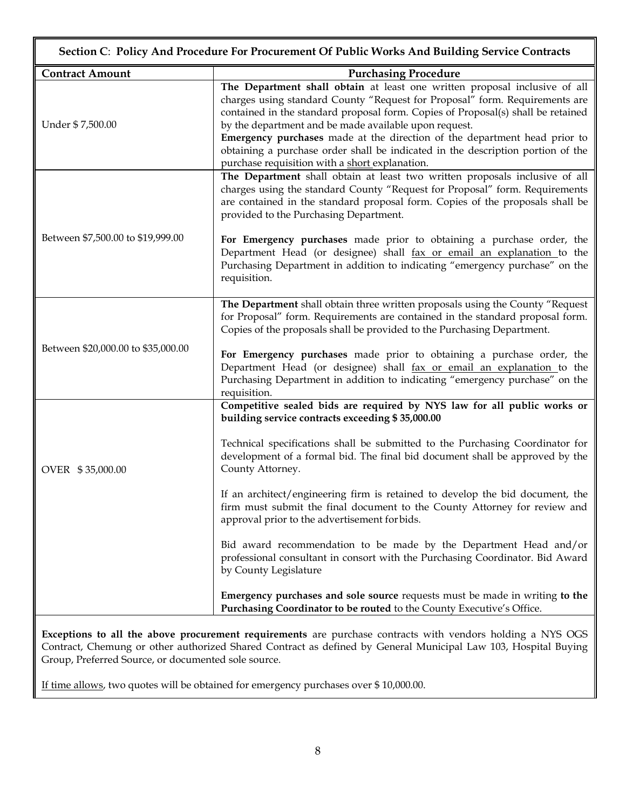| Section C: Policy And Procedure For Procurement Of Public Works And Building Service Contracts |                                                                                                                                                                                                                                                                                                                                                                                                                                                                                                                          |  |  |  |  |  |  |
|------------------------------------------------------------------------------------------------|--------------------------------------------------------------------------------------------------------------------------------------------------------------------------------------------------------------------------------------------------------------------------------------------------------------------------------------------------------------------------------------------------------------------------------------------------------------------------------------------------------------------------|--|--|--|--|--|--|
| <b>Contract Amount</b>                                                                         | <b>Purchasing Procedure</b>                                                                                                                                                                                                                                                                                                                                                                                                                                                                                              |  |  |  |  |  |  |
| Under \$7,500.00                                                                               | The Department shall obtain at least one written proposal inclusive of all<br>charges using standard County "Request for Proposal" form. Requirements are<br>contained in the standard proposal form. Copies of Proposal(s) shall be retained<br>by the department and be made available upon request.<br>Emergency purchases made at the direction of the department head prior to<br>obtaining a purchase order shall be indicated in the description portion of the<br>purchase requisition with a short explanation. |  |  |  |  |  |  |
|                                                                                                | The Department shall obtain at least two written proposals inclusive of all<br>charges using the standard County "Request for Proposal" form. Requirements<br>are contained in the standard proposal form. Copies of the proposals shall be<br>provided to the Purchasing Department.                                                                                                                                                                                                                                    |  |  |  |  |  |  |
| Between \$7,500.00 to \$19,999.00                                                              | For Emergency purchases made prior to obtaining a purchase order, the<br>Department Head (or designee) shall fax or email an explanation to the<br>Purchasing Department in addition to indicating "emergency purchase" on the<br>requisition.                                                                                                                                                                                                                                                                           |  |  |  |  |  |  |
|                                                                                                | The Department shall obtain three written proposals using the County "Request<br>for Proposal" form. Requirements are contained in the standard proposal form.<br>Copies of the proposals shall be provided to the Purchasing Department.                                                                                                                                                                                                                                                                                |  |  |  |  |  |  |
| Between \$20,000.00 to \$35,000.00                                                             | For Emergency purchases made prior to obtaining a purchase order, the<br>Department Head (or designee) shall fax or email an explanation to the<br>Purchasing Department in addition to indicating "emergency purchase" on the<br>requisition.                                                                                                                                                                                                                                                                           |  |  |  |  |  |  |
|                                                                                                | Competitive sealed bids are required by NYS law for all public works or<br>building service contracts exceeding \$35,000.00                                                                                                                                                                                                                                                                                                                                                                                              |  |  |  |  |  |  |
| OVER \$35,000.00                                                                               | Technical specifications shall be submitted to the Purchasing Coordinator for<br>development of a formal bid. The final bid document shall be approved by the<br>County Attorney.                                                                                                                                                                                                                                                                                                                                        |  |  |  |  |  |  |
|                                                                                                | If an architect/engineering firm is retained to develop the bid document, the<br>firm must submit the final document to the County Attorney for review and<br>approval prior to the advertisement for bids.                                                                                                                                                                                                                                                                                                              |  |  |  |  |  |  |
|                                                                                                | Bid award recommendation to be made by the Department Head and/or<br>professional consultant in consort with the Purchasing Coordinator. Bid Award<br>by County Legislature                                                                                                                                                                                                                                                                                                                                              |  |  |  |  |  |  |
|                                                                                                | Emergency purchases and sole source requests must be made in writing to the<br>Purchasing Coordinator to be routed to the County Executive's Office.                                                                                                                                                                                                                                                                                                                                                                     |  |  |  |  |  |  |
|                                                                                                | Executions to all the above procurement requirements are purchase contracts with yondors holding a NVS OCS                                                                                                                                                                                                                                                                                                                                                                                                               |  |  |  |  |  |  |

**Exceptions to all the above procurement requirements** are purchase contracts with vendors holding a NYS OGS Contract, Chemung or other authorized Shared Contract as defined by General Municipal Law 103, Hospital Buying Group, Preferred Source, or documented sole source.

If time allows, two quotes will be obtained for emergency purchases over \$ 10,000.00.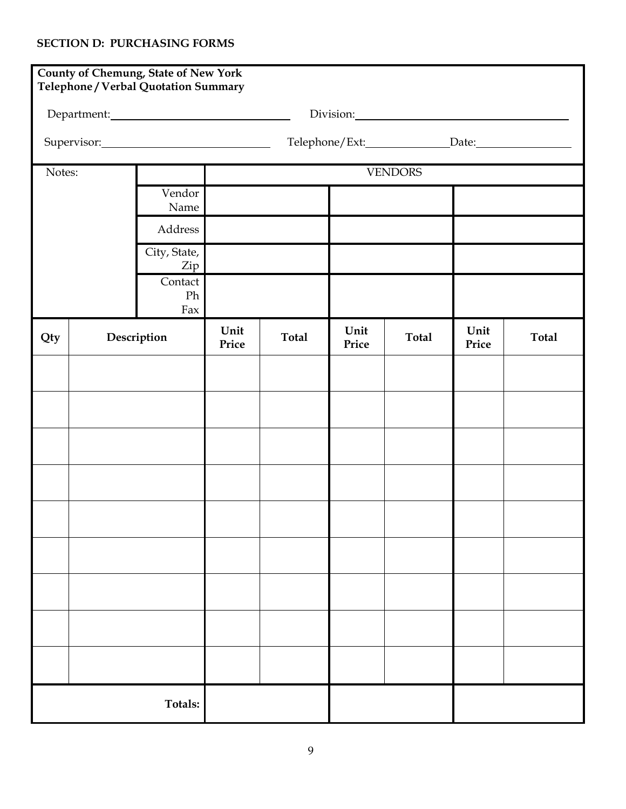## **SECTION D: PURCHASING FORMS**

|        |             | <b>County of Chemung, State of New York</b><br>Telephone / Verbal Quotation Summary |                |              |                            |                                                                                                                                                                                                                               |               |              |  |  |
|--------|-------------|-------------------------------------------------------------------------------------|----------------|--------------|----------------------------|-------------------------------------------------------------------------------------------------------------------------------------------------------------------------------------------------------------------------------|---------------|--------------|--|--|
|        |             |                                                                                     |                |              |                            | Division: 2000 Contract Contract Contract Contract Contract Contract Contract Contract Contract Contract Contract Contract Contract Contract Contract Contract Contract Contract Contract Contract Contract Contract Contract |               |              |  |  |
|        |             |                                                                                     |                |              | Telephone/Ext: Date: Date: |                                                                                                                                                                                                                               |               |              |  |  |
| Notes: |             |                                                                                     | <b>VENDORS</b> |              |                            |                                                                                                                                                                                                                               |               |              |  |  |
|        |             | Vendor<br>Name                                                                      |                |              |                            |                                                                                                                                                                                                                               |               |              |  |  |
|        |             | Address                                                                             |                |              |                            |                                                                                                                                                                                                                               |               |              |  |  |
|        |             | City, State,<br>Zip                                                                 |                |              |                            |                                                                                                                                                                                                                               |               |              |  |  |
|        |             | Contact<br>Ph<br>Fax                                                                |                |              |                            |                                                                                                                                                                                                                               |               |              |  |  |
| Qty    | Description |                                                                                     | Unit<br>Price  | <b>Total</b> | Unit<br>Price              | <b>Total</b>                                                                                                                                                                                                                  | Unit<br>Price | <b>Total</b> |  |  |
|        |             |                                                                                     |                |              |                            |                                                                                                                                                                                                                               |               |              |  |  |
|        |             |                                                                                     |                |              |                            |                                                                                                                                                                                                                               |               |              |  |  |
|        |             |                                                                                     |                |              |                            |                                                                                                                                                                                                                               |               |              |  |  |
|        |             |                                                                                     |                |              |                            |                                                                                                                                                                                                                               |               |              |  |  |
|        |             |                                                                                     |                |              |                            |                                                                                                                                                                                                                               |               |              |  |  |
|        |             |                                                                                     |                |              |                            |                                                                                                                                                                                                                               |               |              |  |  |
|        |             |                                                                                     |                |              |                            |                                                                                                                                                                                                                               |               |              |  |  |
|        |             |                                                                                     |                |              |                            |                                                                                                                                                                                                                               |               |              |  |  |
|        |             |                                                                                     |                |              |                            |                                                                                                                                                                                                                               |               |              |  |  |
|        |             | Totals:                                                                             |                |              |                            |                                                                                                                                                                                                                               |               |              |  |  |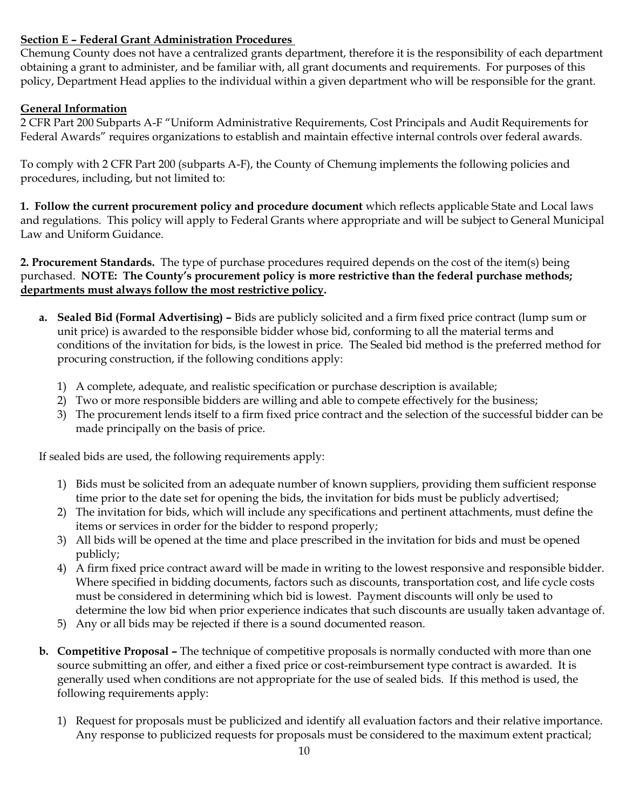## **Section E – Federal Grant Administration Procedures**

Chemung County does not have a centralized grants department, therefore it is the responsibility of each department obtaining a grant to administer, and be familiar with, all grant documents and requirements. For purposes of this policy, Department Head applies to the individual within a given department who will be responsible for the grant.

### **General Information**

2 CFR Part 200 Subparts A-F "Uniform Administrative Requirements, Cost Principals and Audit Requirements for Federal Awards" requires organizations to establish and maintain effective internal controls over federal awards.

To comply with 2 CFR Part 200 (subparts A-F), the County of Chemung implements the following policies and procedures, including, but not limited to:

**1. Follow the current procurement policy and procedure document** which reflects applicable State and Local laws and regulations. This policy will apply to Federal Grants where appropriate and will be subject to General Municipal Law and Uniform Guidance.

**2. Procurement Standards.** The type of purchase procedures required depends on the cost of the item(s) being purchased. **NOTE: The County's procurement policy is more restrictive than the federal purchase methods; departments must always follow the most restrictive policy.**

- **a. Sealed Bid (Formal Advertising) –** Bids are publicly solicited and a firm fixed price contract (lump sum or unit price) is awarded to the responsible bidder whose bid, conforming to all the material terms and conditions of the invitation for bids, is the lowest in price. The Sealed bid method is the preferred method for procuring construction, if the following conditions apply:
	- 1) A complete, adequate, and realistic specification or purchase description is available;
	- 2) Two or more responsible bidders are willing and able to compete effectively for the business;
	- 3) The procurement lends itself to a firm fixed price contract and the selection of the successful bidder can be made principally on the basis of price.

If sealed bids are used, the following requirements apply:

- 1) Bids must be solicited from an adequate number of known suppliers, providing them sufficient response time prior to the date set for opening the bids, the invitation for bids must be publicly advertised;
- 2) The invitation for bids, which will include any specifications and pertinent attachments, must define the items or services in order for the bidder to respond properly;
- 3) All bids will be opened at the time and place prescribed in the invitation for bids and must be opened publicly;
- 4) A firm fixed price contract award will be made in writing to the lowest responsive and responsible bidder. Where specified in bidding documents, factors such as discounts, transportation cost, and life cycle costs must be considered in determining which bid is lowest. Payment discounts will only be used to determine the low bid when prior experience indicates that such discounts are usually taken advantage of.
- 5) Any or all bids may be rejected if there is a sound documented reason.
- **b. Competitive Proposal –** The technique of competitive proposals is normally conducted with more than one source submitting an offer, and either a fixed price or cost-reimbursement type contract is awarded. It is generally used when conditions are not appropriate for the use of sealed bids. If this method is used, the following requirements apply:
	- 1) Request for proposals must be publicized and identify all evaluation factors and their relative importance. Any response to publicized requests for proposals must be considered to the maximum extent practical;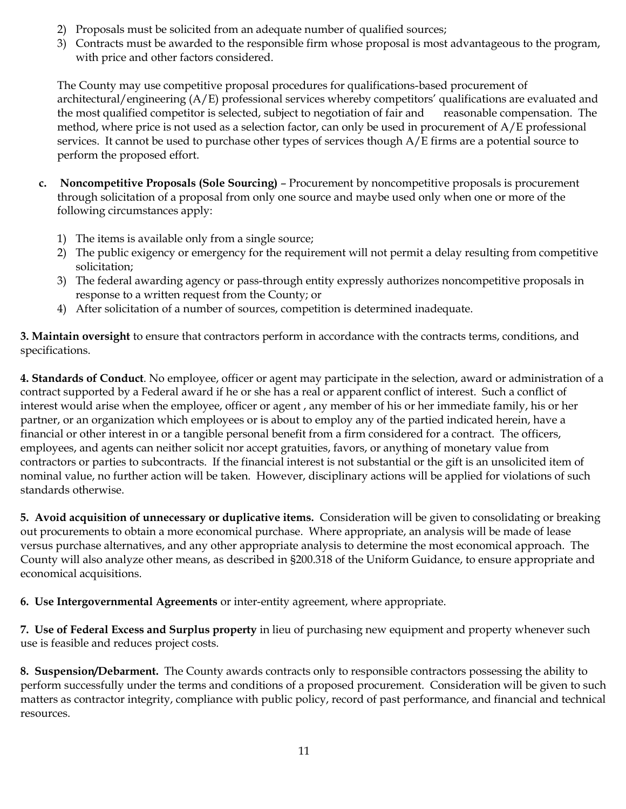- 2) Proposals must be solicited from an adequate number of qualified sources;
- 3) Contracts must be awarded to the responsible firm whose proposal is most advantageous to the program, with price and other factors considered.

The County may use competitive proposal procedures for qualifications-based procurement of architectural/engineering (A/E) professional services whereby competitors' qualifications are evaluated and the most qualified competitor is selected, subject to negotiation of fair and reasonable compensation. The method, where price is not used as a selection factor, can only be used in procurement of  $A/E$  professional services. It cannot be used to purchase other types of services though A/E firms are a potential source to perform the proposed effort.

- **c. Noncompetitive Proposals (Sole Sourcing)** Procurement by noncompetitive proposals is procurement through solicitation of a proposal from only one source and maybe used only when one or more of the following circumstances apply:
	- 1) The items is available only from a single source;
	- 2) The public exigency or emergency for the requirement will not permit a delay resulting from competitive solicitation;
	- 3) The federal awarding agency or pass-through entity expressly authorizes noncompetitive proposals in response to a written request from the County; or
	- 4) After solicitation of a number of sources, competition is determined inadequate.

**3. Maintain oversight** to ensure that contractors perform in accordance with the contracts terms, conditions, and specifications.

**4. Standards of Conduct**. No employee, officer or agent may participate in the selection, award or administration of a contract supported by a Federal award if he or she has a real or apparent conflict of interest. Such a conflict of interest would arise when the employee, officer or agent , any member of his or her immediate family, his or her partner, or an organization which employees or is about to employ any of the partied indicated herein, have a financial or other interest in or a tangible personal benefit from a firm considered for a contract. The officers, employees, and agents can neither solicit nor accept gratuities, favors, or anything of monetary value from contractors or parties to subcontracts. If the financial interest is not substantial or the gift is an unsolicited item of nominal value, no further action will be taken. However, disciplinary actions will be applied for violations of such standards otherwise.

**5. Avoid acquisition of unnecessary or duplicative items.** Consideration will be given to consolidating or breaking out procurements to obtain a more economical purchase. Where appropriate, an analysis will be made of lease versus purchase alternatives, and any other appropriate analysis to determine the most economical approach. The County will also analyze other means, as described in §200.318 of the Uniform Guidance, to ensure appropriate and economical acquisitions.

**6. Use Intergovernmental Agreements** or inter-entity agreement, where appropriate.

**7. Use of Federal Excess and Surplus property** in lieu of purchasing new equipment and property whenever such use is feasible and reduces project costs.

**8. Suspension/Debarment.** The County awards contracts only to responsible contractors possessing the ability to perform successfully under the terms and conditions of a proposed procurement. Consideration will be given to such matters as contractor integrity, compliance with public policy, record of past performance, and financial and technical resources.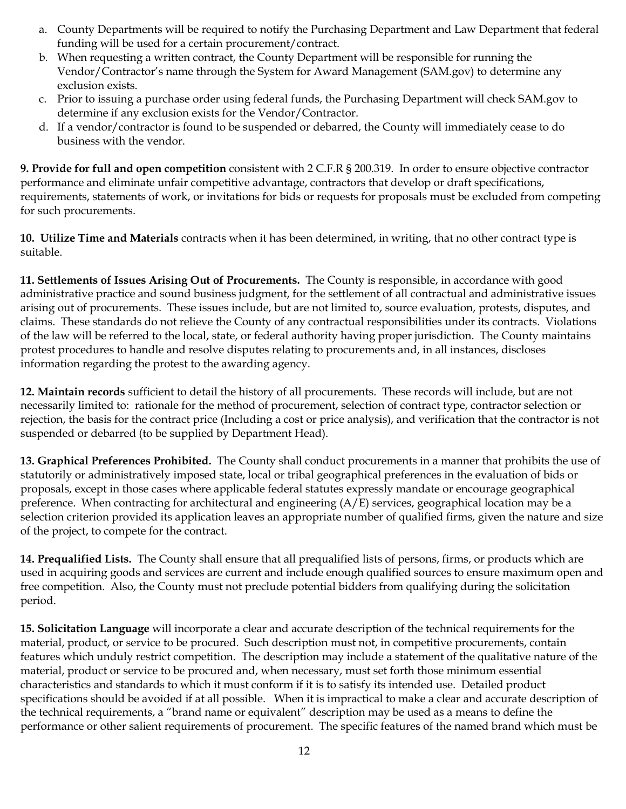- a. County Departments will be required to notify the Purchasing Department and Law Department that federal funding will be used for a certain procurement/contract.
- b. When requesting a written contract, the County Department will be responsible for running the Vendor/Contractor's name through the System for Award Management (SAM.gov) to determine any exclusion exists.
- c. Prior to issuing a purchase order using federal funds, the Purchasing Department will check SAM.gov to determine if any exclusion exists for the Vendor/Contractor.
- d. If a vendor/contractor is found to be suspended or debarred, the County will immediately cease to do business with the vendor.

**9. Provide for full and open competition** consistent with 2 C.F.R § 200.319. In order to ensure objective contractor performance and eliminate unfair competitive advantage, contractors that develop or draft specifications, requirements, statements of work, or invitations for bids or requests for proposals must be excluded from competing for such procurements.

**10. Utilize Time and Materials** contracts when it has been determined, in writing, that no other contract type is suitable.

**11. Settlements of Issues Arising Out of Procurements.** The County is responsible, in accordance with good administrative practice and sound business judgment, for the settlement of all contractual and administrative issues arising out of procurements. These issues include, but are not limited to, source evaluation, protests, disputes, and claims. These standards do not relieve the County of any contractual responsibilities under its contracts. Violations of the law will be referred to the local, state, or federal authority having proper jurisdiction. The County maintains protest procedures to handle and resolve disputes relating to procurements and, in all instances, discloses information regarding the protest to the awarding agency.

**12. Maintain records** sufficient to detail the history of all procurements. These records will include, but are not necessarily limited to: rationale for the method of procurement, selection of contract type, contractor selection or rejection, the basis for the contract price (Including a cost or price analysis), and verification that the contractor is not suspended or debarred (to be supplied by Department Head).

**13. Graphical Preferences Prohibited.** The County shall conduct procurements in a manner that prohibits the use of statutorily or administratively imposed state, local or tribal geographical preferences in the evaluation of bids or proposals, except in those cases where applicable federal statutes expressly mandate or encourage geographical preference. When contracting for architectural and engineering (A/E) services, geographical location may be a selection criterion provided its application leaves an appropriate number of qualified firms, given the nature and size of the project, to compete for the contract.

**14. Prequalified Lists.** The County shall ensure that all prequalified lists of persons, firms, or products which are used in acquiring goods and services are current and include enough qualified sources to ensure maximum open and free competition. Also, the County must not preclude potential bidders from qualifying during the solicitation period.

**15. Solicitation Language** will incorporate a clear and accurate description of the technical requirements for the material, product, or service to be procured. Such description must not, in competitive procurements, contain features which unduly restrict competition. The description may include a statement of the qualitative nature of the material, product or service to be procured and, when necessary, must set forth those minimum essential characteristics and standards to which it must conform if it is to satisfy its intended use. Detailed product specifications should be avoided if at all possible. When it is impractical to make a clear and accurate description of the technical requirements, a "brand name or equivalent" description may be used as a means to define the performance or other salient requirements of procurement. The specific features of the named brand which must be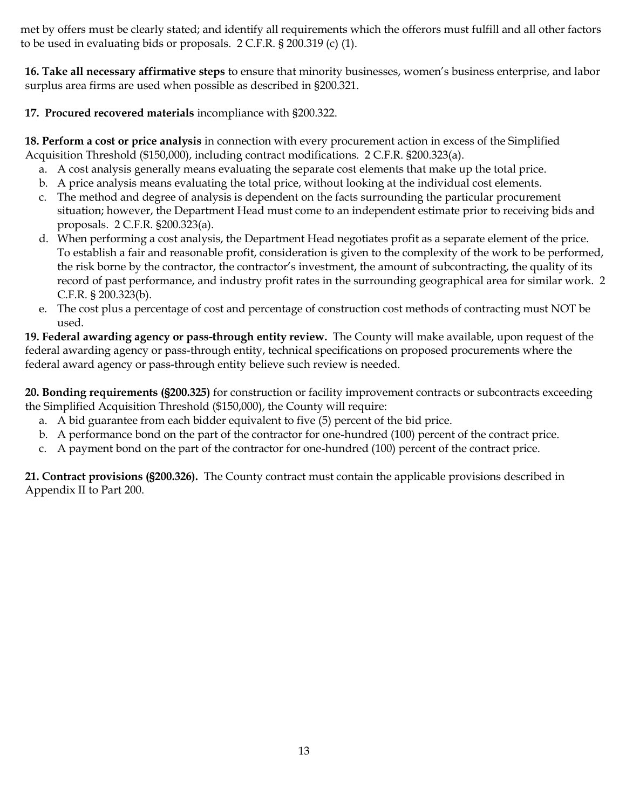met by offers must be clearly stated; and identify all requirements which the offerors must fulfill and all other factors to be used in evaluating bids or proposals. 2 C.F.R. § 200.319 (c) (1).

**16. Take all necessary affirmative steps** to ensure that minority businesses, women's business enterprise, and labor surplus area firms are used when possible as described in §200.321.

**17. Procured recovered materials** incompliance with §200.322.

**18. Perform a cost or price analysis** in connection with every procurement action in excess of the Simplified Acquisition Threshold (\$150,000), including contract modifications. 2 C.F.R. §200.323(a).

- a. A cost analysis generally means evaluating the separate cost elements that make up the total price.
- b. A price analysis means evaluating the total price, without looking at the individual cost elements.
- c. The method and degree of analysis is dependent on the facts surrounding the particular procurement situation; however, the Department Head must come to an independent estimate prior to receiving bids and proposals. 2 C.F.R. §200.323(a).
- d. When performing a cost analysis, the Department Head negotiates profit as a separate element of the price. To establish a fair and reasonable profit, consideration is given to the complexity of the work to be performed, the risk borne by the contractor, the contractor's investment, the amount of subcontracting, the quality of its record of past performance, and industry profit rates in the surrounding geographical area for similar work. 2 C.F.R. § 200.323(b).
- e. The cost plus a percentage of cost and percentage of construction cost methods of contracting must NOT be used.

**19. Federal awarding agency or pass-through entity review.** The County will make available, upon request of the federal awarding agency or pass-through entity, technical specifications on proposed procurements where the federal award agency or pass-through entity believe such review is needed.

**20. Bonding requirements (§200.325)** for construction or facility improvement contracts or subcontracts exceeding the Simplified Acquisition Threshold (\$150,000), the County will require:

- a. A bid guarantee from each bidder equivalent to five (5) percent of the bid price.
- b. A performance bond on the part of the contractor for one-hundred (100) percent of the contract price.
- c. A payment bond on the part of the contractor for one-hundred (100) percent of the contract price.

**21. Contract provisions (§200.326).** The County contract must contain the applicable provisions described in Appendix II to Part 200.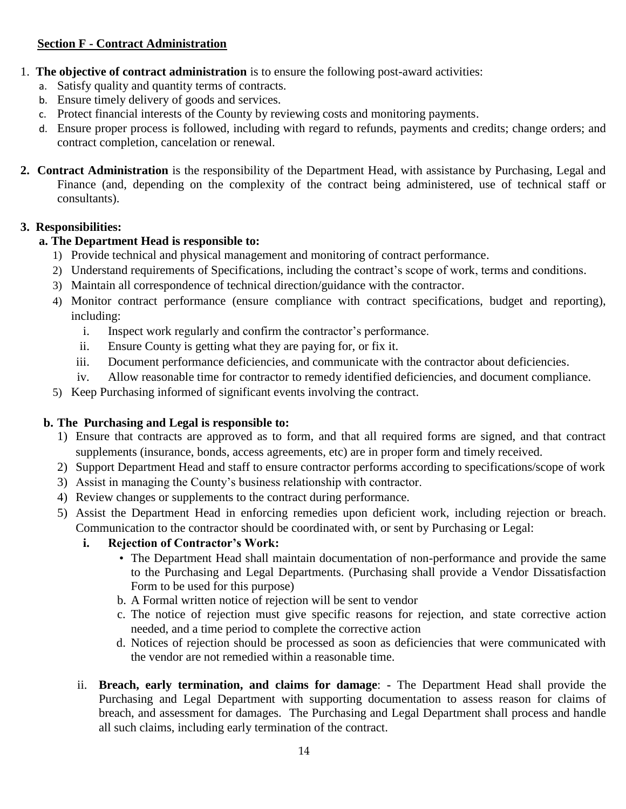### **Section F - Contract Administration**

- 1. **The objective of contract administration** is to ensure the following post-award activities:
	- a. Satisfy quality and quantity terms of contracts.
	- b. Ensure timely delivery of goods and services.
	- c. Protect financial interests of the County by reviewing costs and monitoring payments.
	- d. Ensure proper process is followed, including with regard to refunds, payments and credits; change orders; and contract completion, cancelation or renewal.
- **2. Contract Administration** is the responsibility of the Department Head, with assistance by Purchasing, Legal and Finance (and, depending on the complexity of the contract being administered, use of technical staff or consultants).

# **3. Responsibilities:**

# **a. The Department Head is responsible to:**

- 1) Provide technical and physical management and monitoring of contract performance.
- 2) Understand requirements of Specifications, including the contract's scope of work, terms and conditions.
- 3) Maintain all correspondence of technical direction/guidance with the contractor.
- 4) Monitor contract performance (ensure compliance with contract specifications, budget and reporting), including:
	- i. Inspect work regularly and confirm the contractor's performance.
	- ii. Ensure County is getting what they are paying for, or fix it.
	- iii. Document performance deficiencies, and communicate with the contractor about deficiencies.
	- iv. Allow reasonable time for contractor to remedy identified deficiencies, and document compliance.
- 5) Keep Purchasing informed of significant events involving the contract.

### **b. The Purchasing and Legal is responsible to:**

- 1) Ensure that contracts are approved as to form, and that all required forms are signed, and that contract supplements (insurance, bonds, access agreements, etc) are in proper form and timely received.
- 2) Support Department Head and staff to ensure contractor performs according to specifications/scope of work
- 3) Assist in managing the County's business relationship with contractor.
- 4) Review changes or supplements to the contract during performance.
- 5) Assist the Department Head in enforcing remedies upon deficient work, including rejection or breach. Communication to the contractor should be coordinated with, or sent by Purchasing or Legal:

### **i. Rejection of Contractor's Work:**

- The Department Head shall maintain documentation of non-performance and provide the same to the Purchasing and Legal Departments. (Purchasing shall provide a Vendor Dissatisfaction Form to be used for this purpose)
- b. A Formal written notice of rejection will be sent to vendor
- c. The notice of rejection must give specific reasons for rejection, and state corrective action needed, and a time period to complete the corrective action
- d. Notices of rejection should be processed as soon as deficiencies that were communicated with the vendor are not remedied within a reasonable time.
- ii. **Breach, early termination, and claims for damage**: **-** The Department Head shall provide the Purchasing and Legal Department with supporting documentation to assess reason for claims of breach, and assessment for damages. The Purchasing and Legal Department shall process and handle all such claims, including early termination of the contract.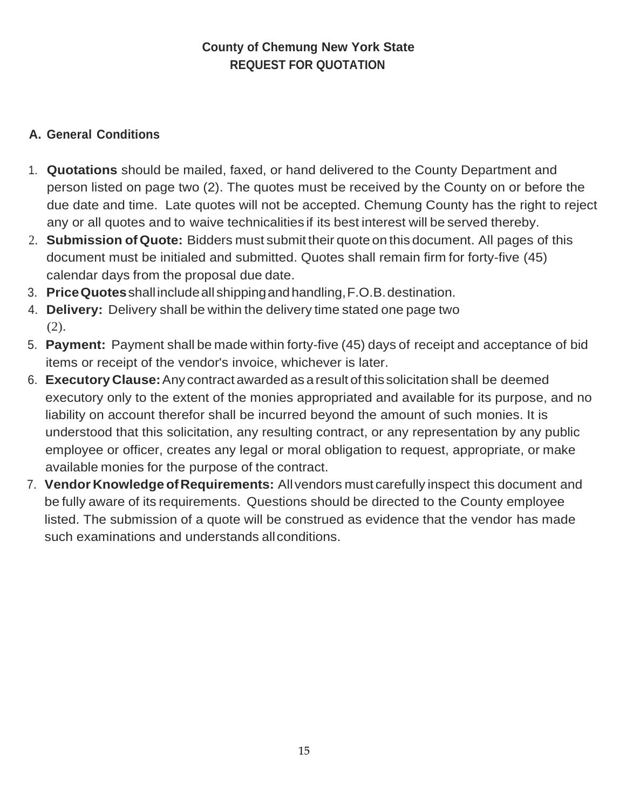# **County of Chemung New York State REQUEST FOR QUOTATION**

# **A. General Conditions**

- 1. **Quotations** should be mailed, faxed, or hand delivered to the County Department and person listed on page two (2). The quotes must be received by the County on or before the due date and time. Late quotes will not be accepted. Chemung County has the right to reject any or all quotes and to waive technicalities if its best interest will be served thereby.
- 2. **Submission of Quote:** Bidders must submit their quote on this document. All pages of this document must be initialed and submitted. Quotes shall remain firm for forty-five (45) calendar days from the proposal due date.
- 3. **PriceQuotes**shall includeall shippingandhandling,F.O.B.destination.
- 4. **Delivery:** Delivery shall be within the delivery time stated one page two (2).
- 5. **Payment:** Payment shall be made within forty-five (45) days of receipt and acceptance of bid items or receipt of the vendor's invoice, whichever is later.
- 6. **Executory Clause:**Any contract awarded as aresult of this solicitation shall be deemed executory only to the extent of the monies appropriated and available for its purpose, and no liability on account therefor shall be incurred beyond the amount of such monies. It is understood that this solicitation, any resulting contract, or any representation by any public employee or officer, creates any legal or moral obligation to request, appropriate, or make available monies for the purpose of the contract.
- 7. **Vendor Knowledge ofRequirements:** Allvendors must carefully inspect this document and be fully aware of its requirements. Questions should be directed to the County employee listed. The submission of a quote will be construed as evidence that the vendor has made such examinations and understands allconditions.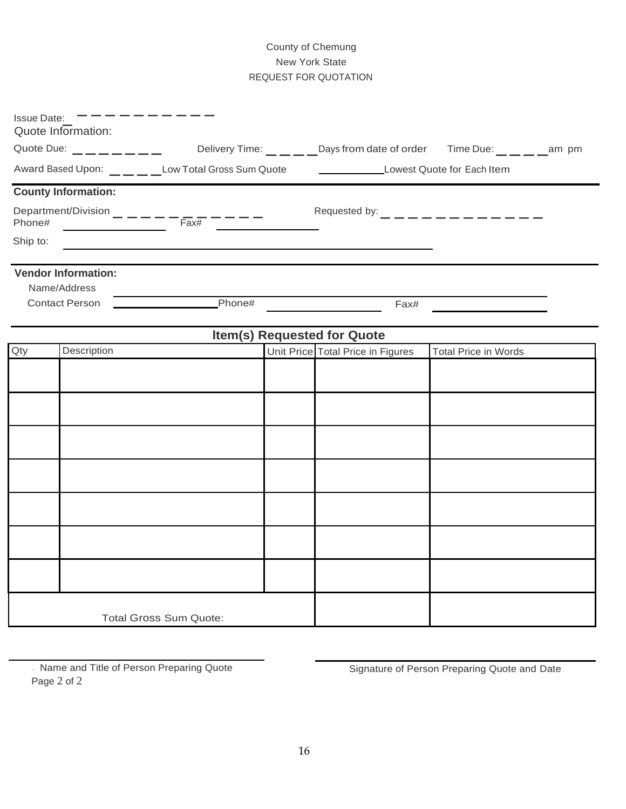### County of Chemung New York State REQUEST FOR QUOTATION

| <b>Issue Date:</b>                     | Quote Information:         |                                                                                                                      |                                                        |                                         |  |
|----------------------------------------|----------------------------|----------------------------------------------------------------------------------------------------------------------|--------------------------------------------------------|-----------------------------------------|--|
| Quote Due: $\_\_\_$ $\_\_$ $\_\_$ $\_$ |                            |                                                                                                                      | Delivery Time: Days from date of order Time Due: am pm |                                         |  |
|                                        |                            | Award Based Upon: Low Total Gross Sum Quote _____________________Lowest Quote for Each Item                          |                                                        |                                         |  |
|                                        | <b>County Information:</b> |                                                                                                                      |                                                        |                                         |  |
|                                        |                            |                                                                                                                      |                                                        | Requested by: _ _ _ _ _ _ _ _ _ _ _ _ _ |  |
| Ship to:                               |                            | <u> 1980 - Johann Barn, amerikan besteman besteman besteman besteman besteman besteman besteman besteman bestema</u> |                                                        |                                         |  |
|                                        | <b>Vendor Information:</b> |                                                                                                                      |                                                        |                                         |  |
|                                        | Name/Address               |                                                                                                                      |                                                        |                                         |  |
|                                        | <b>Contact Person</b>      | Phone#                                                                                                               | Fax#                                                   |                                         |  |
|                                        |                            |                                                                                                                      | <b>Item(s) Requested for Quote</b>                     |                                         |  |
| Qty                                    | Description                |                                                                                                                      | Unit Price Total Price in Figures                      | <b>Total Price in Words</b>             |  |
|                                        |                            |                                                                                                                      |                                                        |                                         |  |
|                                        |                            |                                                                                                                      |                                                        |                                         |  |
|                                        |                            |                                                                                                                      |                                                        |                                         |  |
|                                        |                            |                                                                                                                      |                                                        |                                         |  |
|                                        |                            |                                                                                                                      |                                                        |                                         |  |
|                                        |                            |                                                                                                                      |                                                        |                                         |  |
|                                        |                            |                                                                                                                      |                                                        |                                         |  |
|                                        |                            | <b>Total Gross Sum Quote:</b>                                                                                        |                                                        |                                         |  |

Name and Title of Person Preparing Quote Signature of Person Preparing Quote and Date Page 2 of 2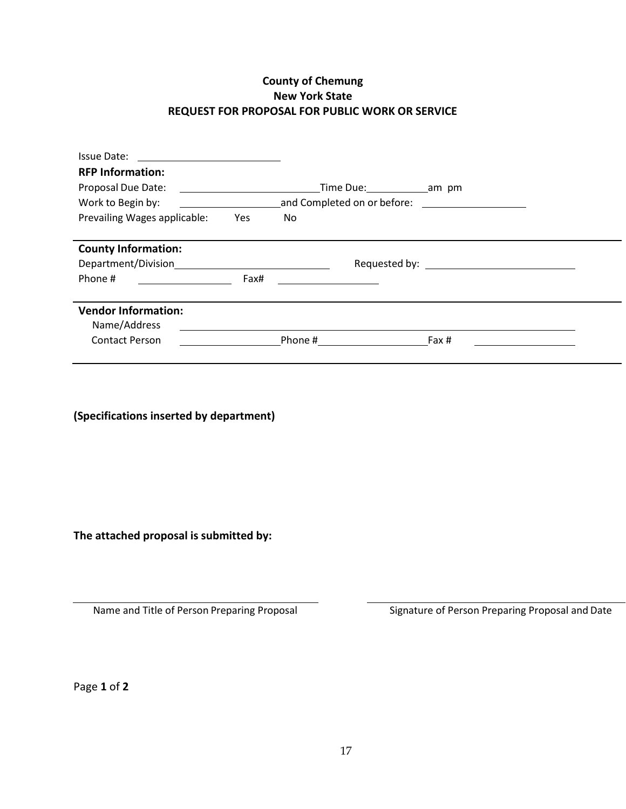### **County of Chemung New York State REQUEST FOR PROPOSAL FOR PUBLIC WORK OR SERVICE**

| Issue Date:                                |      |                             |                                 |  |
|--------------------------------------------|------|-----------------------------|---------------------------------|--|
| <b>RFP Information:</b>                    |      |                             |                                 |  |
| Proposal Due Date:                         |      |                             |                                 |  |
| Work to Begin by:                          |      | and Completed on or before: | <u> 1980 - Jan Alexandria (</u> |  |
| Prevailing Wages applicable:               | Yes  | No                          |                                 |  |
| <b>County Information:</b>                 |      |                             |                                 |  |
| Department/Division                        |      |                             |                                 |  |
| Phone #                                    | Fax# |                             |                                 |  |
| <b>Vendor Information:</b><br>Name/Address |      |                             |                                 |  |
| <b>Contact Person</b>                      |      | Phone #                     | Fax #                           |  |
|                                            |      |                             |                                 |  |

**(Specifications inserted by department)**

**The attached proposal is submitted by:**

Name and Title of Person Preparing Proposal Signature of Person Preparing Proposal and Date

Page **1** of **2**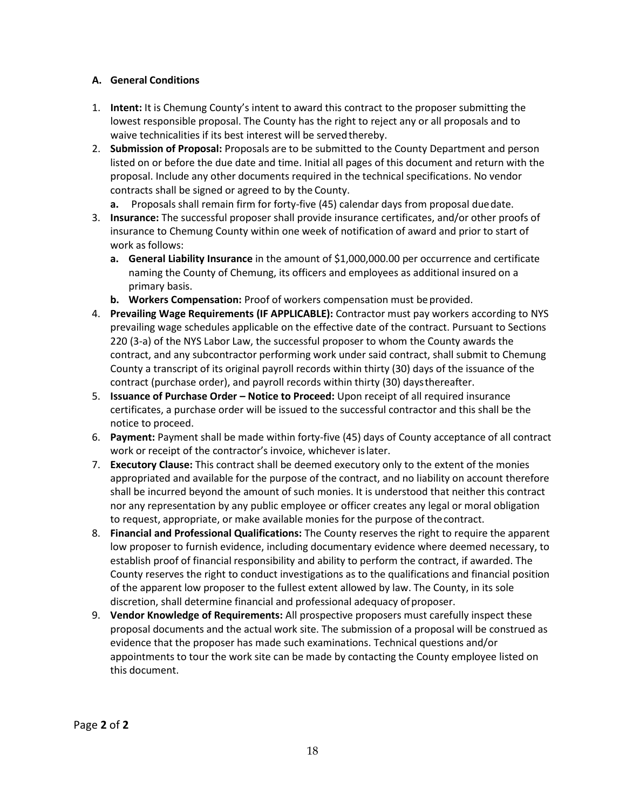#### **A. General Conditions**

- 1. **Intent:** It is Chemung County's intent to award this contract to the proposer submitting the lowest responsible proposal. The County has the right to reject any or all proposals and to waive technicalities if its best interest will be served thereby.
- 2. **Submission of Proposal:** Proposals are to be submitted to the County Department and person listed on or before the due date and time. Initial all pages of this document and return with the proposal. Include any other documents required in the technical specifications. No vendor contracts shall be signed or agreed to by the County.
	- **a.** Proposals shall remain firm for forty-five (45) calendar days from proposal duedate.
- 3. **Insurance:** The successful proposer shall provide insurance certificates, and/or other proofs of insurance to Chemung County within one week of notification of award and prior to start of work as follows:
	- **a. General Liability Insurance** in the amount of \$1,000,000.00 per occurrence and certificate naming the County of Chemung, its officers and employees as additional insured on a primary basis.
	- **b.** Workers Compensation: Proof of workers compensation must be provided.
- 4. **Prevailing Wage Requirements (IF APPLICABLE):** Contractor must pay workers according to NYS prevailing wage schedules applicable on the effective date of the contract. Pursuant to Sections 220 (3-a) of the NYS Labor Law, the successful proposer to whom the County awards the contract, and any subcontractor performing work under said contract, shall submit to Chemung County a transcript of its original payroll records within thirty (30) days of the issuance of the contract (purchase order), and payroll records within thirty (30) daysthereafter.
- 5. **Issuance of Purchase Order – Notice to Proceed:** Upon receipt of all required insurance certificates, a purchase order will be issued to the successful contractor and this shall be the notice to proceed.
- 6. **Payment:** Payment shall be made within forty-five (45) days of County acceptance of all contract work or receipt of the contractor's invoice, whichever islater.
- 7. **Executory Clause:** This contract shall be deemed executory only to the extent of the monies appropriated and available for the purpose of the contract, and no liability on account therefore shall be incurred beyond the amount of such monies. It is understood that neither this contract nor any representation by any public employee or officer creates any legal or moral obligation to request, appropriate, or make available monies for the purpose of thecontract.
- 8. **Financial and Professional Qualifications:** The County reserves the right to require the apparent low proposer to furnish evidence, including documentary evidence where deemed necessary, to establish proof of financial responsibility and ability to perform the contract, if awarded. The County reserves the right to conduct investigations as to the qualifications and financial position of the apparent low proposer to the fullest extent allowed by law. The County, in its sole discretion, shall determine financial and professional adequacy of proposer.
- 9. **Vendor Knowledge of Requirements:** All prospective proposers must carefully inspect these proposal documents and the actual work site. The submission of a proposal will be construed as evidence that the proposer has made such examinations. Technical questions and/or appointments to tour the work site can be made by contacting the County employee listed on this document.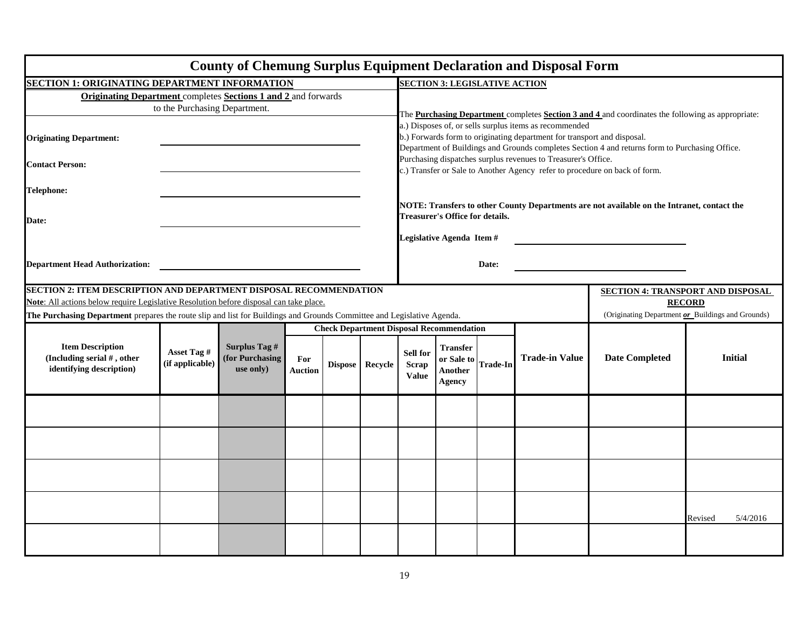|                                                                                                                        |                                |                                               |                       |         |                                                                                                                                                                                                                                     |                                                                                                                                             |                                                           |                 | <b>County of Chemung Surplus Equipment Declaration and Disposal Form</b> |                       |                                          |
|------------------------------------------------------------------------------------------------------------------------|--------------------------------|-----------------------------------------------|-----------------------|---------|-------------------------------------------------------------------------------------------------------------------------------------------------------------------------------------------------------------------------------------|---------------------------------------------------------------------------------------------------------------------------------------------|-----------------------------------------------------------|-----------------|--------------------------------------------------------------------------|-----------------------|------------------------------------------|
| <b>SECTION 1: ORIGINATING DEPARTMENT INFORMATION</b>                                                                   |                                |                                               |                       |         |                                                                                                                                                                                                                                     | <b>SECTION 3: LEGISLATIVE ACTION</b>                                                                                                        |                                                           |                 |                                                                          |                       |                                          |
| <b>Originating Department</b> completes <b>Sections 1 and 2</b> and forwards                                           |                                |                                               |                       |         |                                                                                                                                                                                                                                     |                                                                                                                                             |                                                           |                 |                                                                          |                       |                                          |
| to the Purchasing Department.                                                                                          |                                |                                               |                       |         |                                                                                                                                                                                                                                     | The <b>Purchasing Department</b> completes <b>Section 3 and 4</b> and coordinates the following as appropriate:                             |                                                           |                 |                                                                          |                       |                                          |
| <b>Originating Department:</b>                                                                                         |                                |                                               |                       |         | a.) Disposes of, or sells surplus items as recommended<br>b.) Forwards form to originating department for transport and disposal.<br>Department of Buildings and Grounds completes Section 4 and returns form to Purchasing Office. |                                                                                                                                             |                                                           |                 |                                                                          |                       |                                          |
| <b>Contact Person:</b>                                                                                                 |                                |                                               |                       |         |                                                                                                                                                                                                                                     | Purchasing dispatches surplus revenues to Treasurer's Office.<br>c.) Transfer or Sale to Another Agency refer to procedure on back of form. |                                                           |                 |                                                                          |                       |                                          |
| Telephone:                                                                                                             |                                |                                               |                       |         |                                                                                                                                                                                                                                     |                                                                                                                                             |                                                           |                 |                                                                          |                       |                                          |
| Date:                                                                                                                  |                                |                                               |                       |         |                                                                                                                                                                                                                                     | NOTE: Transfers to other County Departments are not available on the Intranet, contact the<br><b>Treasurer's Office for details.</b>        |                                                           |                 |                                                                          |                       |                                          |
|                                                                                                                        |                                |                                               |                       |         |                                                                                                                                                                                                                                     |                                                                                                                                             | Legislative Agenda Item #                                 |                 |                                                                          |                       |                                          |
| <b>Department Head Authorization:</b>                                                                                  |                                |                                               |                       |         |                                                                                                                                                                                                                                     |                                                                                                                                             |                                                           | Date:           |                                                                          |                       |                                          |
| <b>SECTION 2: ITEM DESCRIPTION AND DEPARTMENT DISPOSAL RECOMMENDATION</b>                                              |                                |                                               |                       |         |                                                                                                                                                                                                                                     |                                                                                                                                             |                                                           |                 |                                                                          |                       | <b>SECTION 4: TRANSPORT AND DISPOSAL</b> |
| Note: All actions below require Legislative Resolution before disposal can take place.                                 |                                |                                               |                       |         |                                                                                                                                                                                                                                     |                                                                                                                                             |                                                           |                 |                                                                          |                       | <b>RECORD</b>                            |
| The Purchasing Department prepares the route slip and list for Buildings and Grounds Committee and Legislative Agenda. |                                |                                               |                       |         |                                                                                                                                                                                                                                     | (Originating Department or Buildings and Grounds)                                                                                           |                                                           |                 |                                                                          |                       |                                          |
|                                                                                                                        |                                |                                               |                       |         |                                                                                                                                                                                                                                     |                                                                                                                                             | <b>Check Department Disposal Recommendation</b>           |                 |                                                                          |                       |                                          |
| <b>Item Description</b><br>(Including serial #, other<br>identifying description)                                      | Asset Tag #<br>(if applicable) | Surplus Tag #<br>(for Purchasing<br>use only) | For<br><b>Auction</b> | Dispose | Recycle                                                                                                                                                                                                                             | Sell for<br><b>Scrap</b><br><b>Value</b>                                                                                                    | <b>Transfer</b><br>or Sale to<br>Another<br><b>Agency</b> | <b>Trade-In</b> | <b>Trade-in Value</b>                                                    | <b>Date Completed</b> | <b>Initial</b>                           |
|                                                                                                                        |                                |                                               |                       |         |                                                                                                                                                                                                                                     |                                                                                                                                             |                                                           |                 |                                                                          |                       |                                          |
|                                                                                                                        |                                |                                               |                       |         |                                                                                                                                                                                                                                     |                                                                                                                                             |                                                           |                 |                                                                          |                       |                                          |
|                                                                                                                        |                                |                                               |                       |         |                                                                                                                                                                                                                                     |                                                                                                                                             |                                                           |                 |                                                                          |                       |                                          |
|                                                                                                                        |                                |                                               |                       |         |                                                                                                                                                                                                                                     |                                                                                                                                             |                                                           |                 |                                                                          |                       | 5/4/2016<br>Revised                      |
|                                                                                                                        |                                |                                               |                       |         |                                                                                                                                                                                                                                     |                                                                                                                                             |                                                           |                 |                                                                          |                       |                                          |